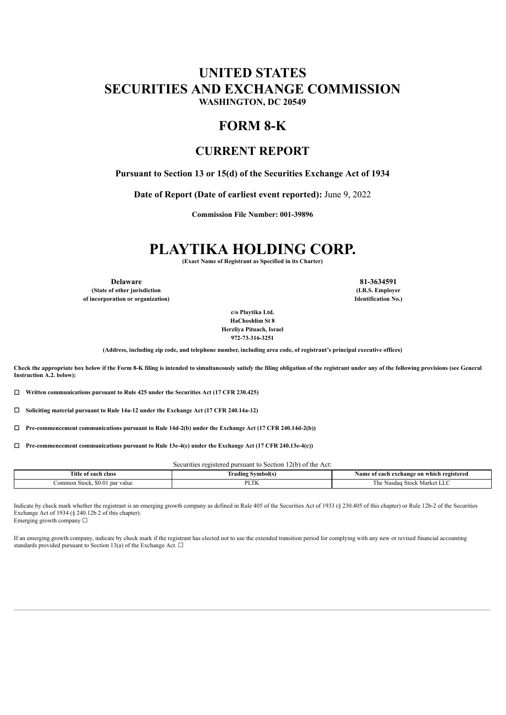## **UNITED STATES SECURITIES AND EXCHANGE COMMISSION WASHINGTON, DC 20549**

## **FORM 8-K**

### **CURRENT REPORT**

**Pursuant to Section 13 or 15(d) of the Securities Exchange Act of 1934**

**Date of Report (Date of earliest event reported):** June 9, 2022

**Commission File Number: 001-39896**

# **PLAYTIKA HOLDING CORP.**

**(Exact Name of Registrant as Specified in its Charter)**

**(State of other jurisdiction (I.R.S. Employer of incorporation or organization) Identification No.)**

**Delaware 81-3634591**

**c/o Playtika Ltd. HaChoshlim St 8 Herzliya Pituach, Israel 972-73-316-3251**

**(Address, including zip code, and telephone number, including area code, of registrant's principal executive offices)**

Check the appropriate box below if the Form 8-K filing is intended to simultaneously satisfy the filing obligation of the registrant under any of the following provisions (see General **Instruction A.2. below):**

☐ **Written communications pursuant to Rule 425 under the Securities Act (17 CFR 230.425)**

☐ **Soliciting material pursuant to Rule 14a-12 under the Exchange Act (17 CFR 240.14a-12)**

☐ **Pre-commencement communications pursuant to Rule 14d-2(b) under the Exchange Act (17 CFR 240.14d-2(b))**

☐ **Pre-commencement communications pursuant to Rule 13e-4(c) under the Exchange Act (17 CFR 240.13e-4(c))**

Securities registered pursuant to Section 12(b) of the Act:

| $\sim$<br>each class<br>utle      | ivmbol(s<br>radın.<br>$\sim$ $\sim$ $\sim$ $\sim$ | which registered<br>Name<br>t each exchange on<br>oт<br>$\sim$ $\sim$ $\sim$ $\sim$ |
|-----------------------------------|---------------------------------------------------|-------------------------------------------------------------------------------------|
| SO O<br>Common Stock<br>par value | DI TV                                             | <b>Stock</b><br>. Market LLC<br><b>NASO40</b><br>ـ ۱۱۷                              |

Indicate by check mark whether the registrant is an emerging growth company as defined in Rule 405 of the Securities Act of 1933 (§ 230.405 of this chapter) or Rule 12b-2 of the Securities Exchange Act of 1934 (§ 240.12b 2 of this chapter).

Emerging growth company  $\Box$ 

If an emerging growth company, indicate by check mark if the registrant has elected not to use the extended transition period for complying with any new or revised financial accounting standards provided pursuant to Section 13(a) of the Exchange Act.  $\square$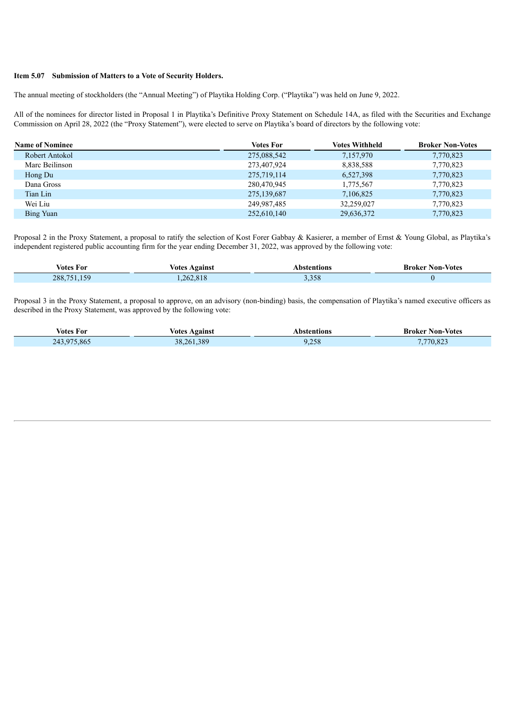#### **Item 5.07 Submission of Matters to a Vote of Security Holders.**

The annual meeting of stockholders (the "Annual Meeting") of Playtika Holding Corp. ("Playtika") was held on June 9, 2022.

All of the nominees for director listed in Proposal 1 in Playtika's Definitive Proxy Statement on Schedule 14A, as filed with the Securities and Exchange Commission on April 28, 2022 (the "Proxy Statement"), were elected to serve on Playtika's board of directors by the following vote:

| <b>Name of Nominee</b> | <b>Votes For</b> | <b>Votes Withheld</b> | <b>Broker Non-Votes</b> |
|------------------------|------------------|-----------------------|-------------------------|
| Robert Antokol         | 275,088,542      | 7,157,970             | 7,770,823               |
| Marc Beilinson         | 273,407,924      | 8,838,588             | 7,770,823               |
| Hong Du                | 275,719,114      | 6,527,398             | 7,770,823               |
| Dana Gross             | 280,470,945      | 1,775,567             | 7,770,823               |
| Tian Lin               | 275,139,687      | 7,106,825             | 7,770,823               |
| Wei Liu                | 249,987,485      | 32.259.027            | 7,770,823               |
| Bing Yuan              | 252,610,140      | 29,636,372            | 7,770,823               |

Proposal 2 in the Proxy Statement, a proposal to ratify the selection of Kost Forer Gabbay & Kasierer, a member of Ernst & Young Global, as Playtika's independent registered public accounting firm for the year ending December 31, 2022, was approved by the following vote:

| Votes For       | <b>Votes Against</b> | Abstentions       | <b>Broker Non-Votes</b> |
|-----------------|----------------------|-------------------|-------------------------|
| 150<br>288,751. | 262.818              | 200<br>-<br>5,338 |                         |

Proposal 3 in the Proxy Statement, a proposal to approve, on an advisory (non-binding) basis, the compensation of Playtika's named executive officers as described in the Proxy Statement, was approved by the following vote:

| Votes For                 | Votes<br>Agains           | ıons           | Non-Votes<br>Broker                        |
|---------------------------|---------------------------|----------------|--------------------------------------------|
| ר ∧<br>.865<br>$\sim$ 1.4 | 389<br>.<br>261<br>$\sim$ | 250<br>ס ק∠, י | $0^{\circ}$<br>$\sim$<br>$\prime$<br>0.043 |